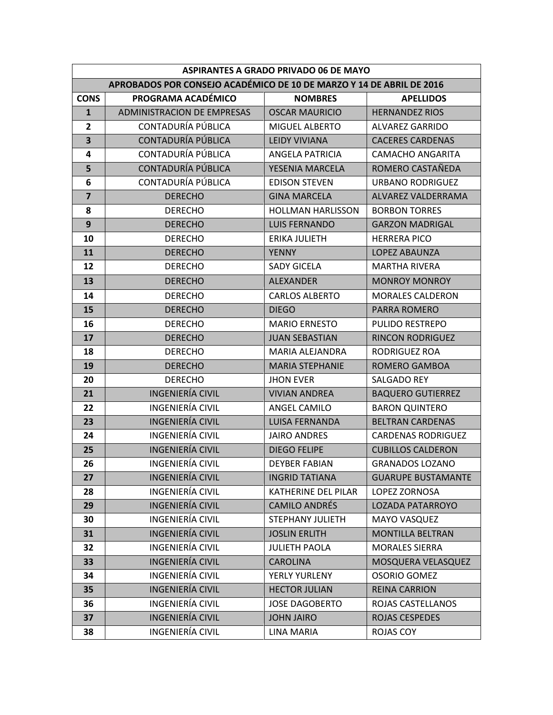| <b>ASPIRANTES A GRADO PRIVADO 06 DE MAYO</b>                         |                                   |                          |                           |  |
|----------------------------------------------------------------------|-----------------------------------|--------------------------|---------------------------|--|
| APROBADOS POR CONSEJO ACADÉMICO DE 10 DE MARZO Y 14 DE ABRIL DE 2016 |                                   |                          |                           |  |
| <b>CONS</b>                                                          | PROGRAMA ACADÉMICO                | <b>NOMBRES</b>           | <b>APELLIDOS</b>          |  |
| $\mathbf{1}$                                                         | <b>ADMINISTRACION DE EMPRESAS</b> | <b>OSCAR MAURICIO</b>    | <b>HERNANDEZ RIOS</b>     |  |
| $\overline{2}$                                                       | CONTADURÍA PÚBLICA                | <b>MIGUEL ALBERTO</b>    | <b>ALVAREZ GARRIDO</b>    |  |
| $\overline{\mathbf{3}}$                                              | CONTADURÍA PÚBLICA                | <b>LEIDY VIVIANA</b>     | <b>CACERES CARDENAS</b>   |  |
| 4                                                                    | CONTADURÍA PÚBLICA                | <b>ANGELA PATRICIA</b>   | <b>CAMACHO ANGARITA</b>   |  |
| 5                                                                    | CONTADURÍA PÚBLICA                | YESENIA MARCELA          | ROMERO CASTAÑEDA          |  |
| 6                                                                    | CONTADURÍA PÚBLICA                | <b>EDISON STEVEN</b>     | <b>URBANO RODRIGUEZ</b>   |  |
| $\overline{\mathbf{z}}$                                              | <b>DERECHO</b>                    | <b>GINA MARCELA</b>      | ALVAREZ VALDERRAMA        |  |
| 8                                                                    | <b>DERECHO</b>                    | <b>HOLLMAN HARLISSON</b> | <b>BORBON TORRES</b>      |  |
| $\mathbf{9}$                                                         | <b>DERECHO</b>                    | <b>LUIS FERNANDO</b>     | <b>GARZON MADRIGAL</b>    |  |
| 10                                                                   | <b>DERECHO</b>                    | <b>ERIKA JULIETH</b>     | <b>HERRERA PICO</b>       |  |
| 11                                                                   | <b>DERECHO</b>                    | <b>YENNY</b>             | LOPEZ ABAUNZA             |  |
| 12                                                                   | <b>DERECHO</b>                    | <b>SADY GICELA</b>       | <b>MARTHA RIVERA</b>      |  |
| 13                                                                   | <b>DERECHO</b>                    | <b>ALEXANDER</b>         | <b>MONROY MONROY</b>      |  |
| 14                                                                   | <b>DERECHO</b>                    | <b>CARLOS ALBERTO</b>    | <b>MORALES CALDERON</b>   |  |
| 15                                                                   | <b>DERECHO</b>                    | <b>DIEGO</b>             | <b>PARRA ROMERO</b>       |  |
| 16                                                                   | <b>DERECHO</b>                    | <b>MARIO ERNESTO</b>     | <b>PULIDO RESTREPO</b>    |  |
| 17                                                                   | <b>DERECHO</b>                    | <b>JUAN SEBASTIAN</b>    | <b>RINCON RODRIGUEZ</b>   |  |
| 18                                                                   | <b>DERECHO</b>                    | MARIA ALEJANDRA          | RODRIGUEZ ROA             |  |
| 19                                                                   | <b>DERECHO</b>                    | <b>MARIA STEPHANIE</b>   | ROMERO GAMBOA             |  |
| 20                                                                   | <b>DERECHO</b>                    | <b>JHON EVER</b>         | SALGADO REY               |  |
| 21                                                                   | <b>INGENIERÍA CIVIL</b>           | <b>VIVIAN ANDREA</b>     | <b>BAQUERO GUTIERREZ</b>  |  |
| 22                                                                   | INGENIERÍA CIVIL                  | ANGEL CAMILO             | <b>BARON QUINTERO</b>     |  |
| 23                                                                   | <b>INGENIERÍA CIVIL</b>           | <b>LUISA FERNANDA</b>    | <b>BELTRAN CARDENAS</b>   |  |
| 24                                                                   | <b>INGENIERÍA CIVIL</b>           | <b>JAIRO ANDRES</b>      | <b>CARDENAS RODRIGUEZ</b> |  |
| 25                                                                   | <b>INGENIERÍA CIVIL</b>           | <b>DIEGO FELIPE</b>      | <b>CUBILLOS CALDERON</b>  |  |
| 26                                                                   | INGENIERÍA CIVIL                  | <b>DEYBER FABIAN</b>     | <b>GRANADOS LOZANO</b>    |  |
| 27                                                                   | <b>INGENIERÍA CIVIL</b>           | <b>INGRID TATIANA</b>    | <b>GUARUPE BUSTAMANTE</b> |  |
| 28                                                                   | <b>INGENIERÍA CIVIL</b>           | KATHERINE DEL PILAR      | LOPEZ ZORNOSA             |  |
| 29                                                                   | <b>INGENIERÍA CIVIL</b>           | <b>CAMILO ANDRÉS</b>     | LOZADA PATARROYO          |  |
| 30                                                                   | INGENIERÍA CIVIL                  | STEPHANY JULIETH         | <b>MAYO VASQUEZ</b>       |  |
| 31                                                                   | <b>INGENIERÍA CIVIL</b>           | <b>JOSLIN ERLITH</b>     | <b>MONTILLA BELTRAN</b>   |  |
| 32                                                                   | <b>INGENIERÍA CIVIL</b>           | <b>JULIETH PAOLA</b>     | <b>MORALES SIERRA</b>     |  |
| 33                                                                   | <b>INGENIERÍA CIVIL</b>           | <b>CAROLINA</b>          | MOSQUERA VELASQUEZ        |  |
| 34                                                                   | INGENIERÍA CIVIL                  | YERLY YURLENY            | <b>OSORIO GOMEZ</b>       |  |
| 35                                                                   | <b>INGENIERÍA CIVIL</b>           | <b>HECTOR JULIAN</b>     | <b>REINA CARRION</b>      |  |
| 36                                                                   | <b>INGENIERÍA CIVIL</b>           | <b>JOSE DAGOBERTO</b>    | ROJAS CASTELLANOS         |  |
| 37                                                                   | <b>INGENIERÍA CIVIL</b>           | <b>JOHN JAIRO</b>        | ROJAS CESPEDES            |  |
| 38                                                                   | INGENIERÍA CIVIL                  | <b>LINA MARIA</b>        | ROJAS COY                 |  |